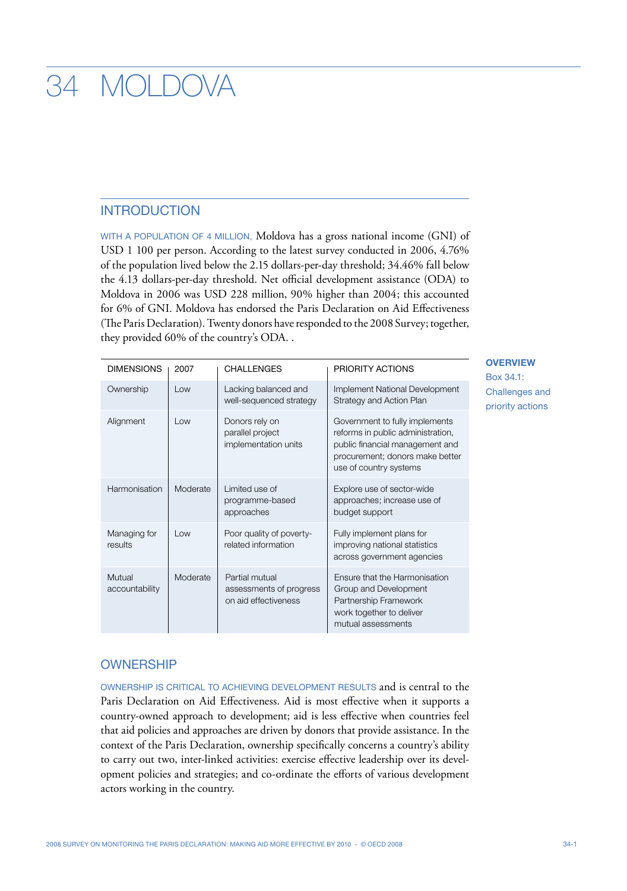# 34 MOLDOVA

# INTRODUCTION

WITH A POPULATION OF 4 MILLION, Moldova has a gross national income (GNI) of USD 1 100 per person. According to the latest survey conducted in 2006, 4.76% of the population lived below the 2.15 dollars-per-day threshold; 34.46% fall below the 4.13 dollars-per-day threshold. Net official development assistance (ODA) to Moldova in 2006 was USD 228 million, 90% higher than 2004; this accounted for 6% of GNI. Moldova has endorsed the Paris Declaration on Aid Effectiveness (The Paris Declaration). Twenty donors have responded to the 2008 Survey; together, they provided 60% of the country's ODA. .

| <b>DIMENSIONS</b>        | 2007     | <b>CHALLENGES</b>                                                 | PRIORITY ACTIONS                                                                                                                                                    |
|--------------------------|----------|-------------------------------------------------------------------|---------------------------------------------------------------------------------------------------------------------------------------------------------------------|
| Ownership                | Low      | Lacking balanced and<br>well-sequenced strategy                   | Implement National Development<br>Strategy and Action Plan                                                                                                          |
| Alignment                | Low      | Donors rely on<br>parallel project<br>implementation units        | Government to fully implements<br>reforms in public administration,<br>public financial management and<br>procurement; donors make better<br>use of country systems |
| Harmonisation            | Moderate | Limited use of<br>programme-based<br>approaches                   | Explore use of sector-wide<br>approaches; increase use of<br>budget support                                                                                         |
| Managing for<br>results  | Low      | Poor quality of poverty-<br>related information                   | Fully implement plans for<br>improving national statistics<br>across government agencies                                                                            |
| Mutual<br>accountability | Moderate | Partial mutual<br>assessments of progress<br>on aid effectiveness | Ensure that the Harmonisation<br>Group and Development<br>Partnership Framework<br>work together to deliver<br>mutual assessments                                   |

# **OVERVIEW**

Box 34.1: Challenges and priority actions

# **OWNERSHIP**

OWNERSHIP IS CRITICAL TO ACHIEVING DEVELOPMENT RESULTS and is central to the Paris Declaration on Aid Effectiveness. Aid is most effective when it supports a country-owned approach to development; aid is less effective when countries feel that aid policies and approaches are driven by donors that provide assistance. In the context of the Paris Declaration, ownership specifically concerns a country's ability to carry out two, inter-linked activities: exercise effective leadership over its development policies and strategies; and co-ordinate the efforts of various development actors working in the country.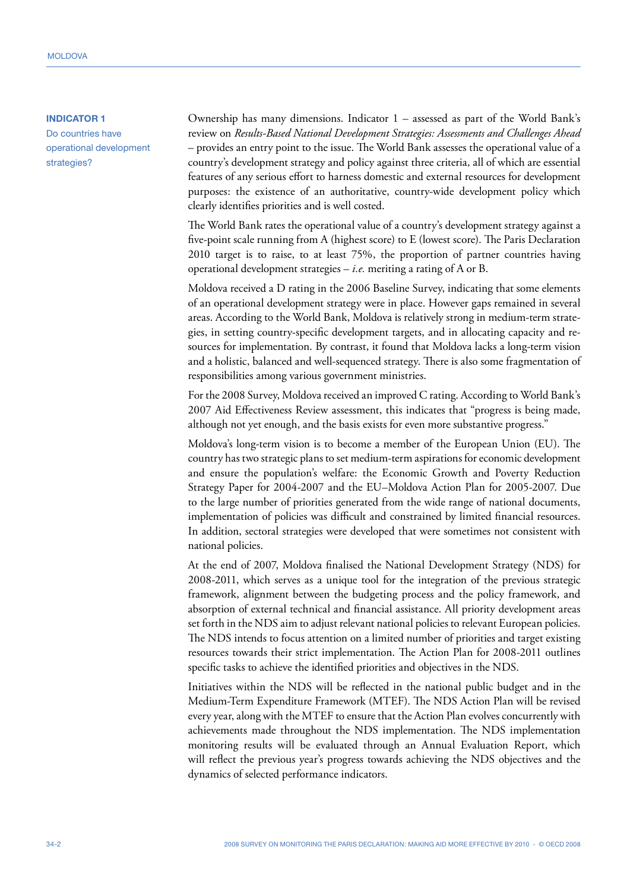#### **INDICATOR 1**

Do countries have operational development strategies?

Ownership has many dimensions. Indicator 1 – assessed as part of the World Bank's review on *Results-Based National Development Strategies: Assessments and Challenges Ahead* – provides an entry point to the issue. The World Bank assesses the operational value of a country's development strategy and policy against three criteria, all of which are essential features of any serious effort to harness domestic and external resources for development purposes: the existence of an authoritative, country-wide development policy which clearly identifies priorities and is well costed.

The World Bank rates the operational value of a country's development strategy against a five-point scale running from A (highest score) to E (lowest score). The Paris Declaration 2010 target is to raise, to at least 75%, the proportion of partner countries having operational development strategies – *i.e.* meriting a rating of A or B.

Moldova received a D rating in the 2006 Baseline Survey, indicating that some elements of an operational development strategy were in place. However gaps remained in several areas. According to the World Bank, Moldova is relatively strong in medium-term strategies, in setting country-specific development targets, and in allocating capacity and resources for implementation. By contrast, it found that Moldova lacks a long-term vision and a holistic, balanced and well-sequenced strategy. There is also some fragmentation of responsibilities among various government ministries.

For the 2008 Survey, Moldova received an improved C rating. According to World Bank's 2007 Aid Effectiveness Review assessment, this indicates that "progress is being made, although not yet enough, and the basis exists for even more substantive progress."

Moldova's long-term vision is to become a member of the European Union (EU). The country has two strategic plans to set medium-term aspirations for economic development and ensure the population's welfare: the Economic Growth and Poverty Reduction Strategy Paper for 2004-2007 and the EU–Moldova Action Plan for 2005-2007. Due to the large number of priorities generated from the wide range of national documents, implementation of policies was difficult and constrained by limited financial resources. In addition, sectoral strategies were developed that were sometimes not consistent with national policies.

At the end of 2007, Moldova finalised the National Development Strategy (NDS) for 2008-2011, which serves as a unique tool for the integration of the previous strategic framework, alignment between the budgeting process and the policy framework, and absorption of external technical and financial assistance. All priority development areas set forth in the NDS aim to adjust relevant national policies to relevant European policies. The NDS intends to focus attention on a limited number of priorities and target existing resources towards their strict implementation. The Action Plan for 2008-2011 outlines specific tasks to achieve the identified priorities and objectives in the NDS.

Initiatives within the NDS will be reflected in the national public budget and in the Medium-Term Expenditure Framework (MTEF). The NDS Action Plan will be revised every year, along with the MTEF to ensure that the Action Plan evolves concurrently with achievements made throughout the NDS implementation. The NDS implementation monitoring results will be evaluated through an Annual Evaluation Report, which will reflect the previous year's progress towards achieving the NDS objectives and the dynamics of selected performance indicators.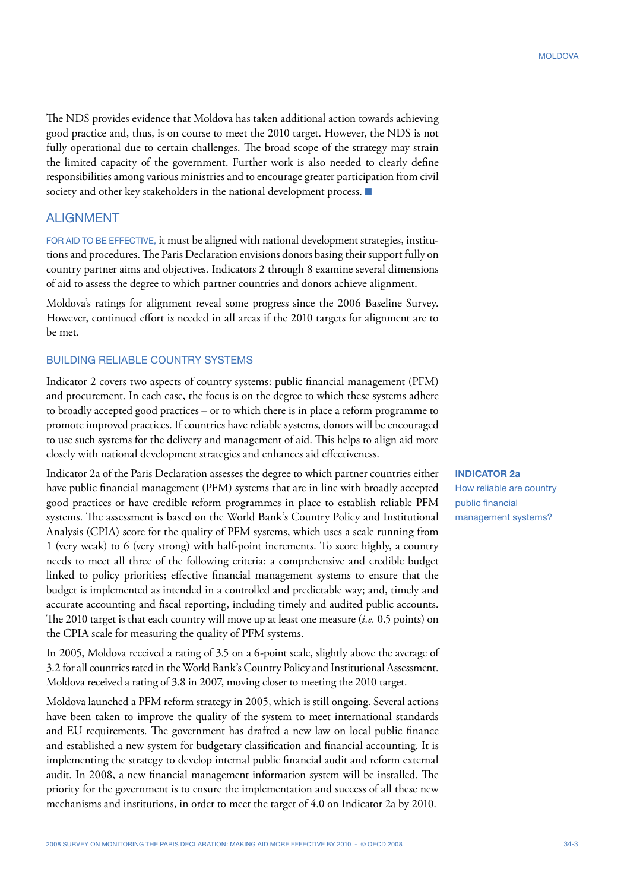The NDS provides evidence that Moldova has taken additional action towards achieving good practice and, thus, is on course to meet the 2010 target. However, the NDS is not fully operational due to certain challenges. The broad scope of the strategy may strain the limited capacity of the government. Further work is also needed to clearly define responsibilities among various ministries and to encourage greater participation from civil society and other key stakeholders in the national development process.

# ALIGNMENT

FOR AID TO BE EFFECTIVE, it must be aligned with national development strategies, institutions and procedures. The Paris Declaration envisions donors basing their support fully on country partner aims and objectives. Indicators 2 through 8 examine several dimensions of aid to assess the degree to which partner countries and donors achieve alignment.

Moldova's ratings for alignment reveal some progress since the 2006 Baseline Survey. However, continued effort is needed in all areas if the 2010 targets for alignment are to be met.

# BUILDING RELIABLE COUNTRY SYSTEMS

Indicator 2 covers two aspects of country systems: public financial management (PFM) and procurement. In each case, the focus is on the degree to which these systems adhere to broadly accepted good practices – or to which there is in place a reform programme to promote improved practices. If countries have reliable systems, donors will be encouraged to use such systems for the delivery and management of aid. This helps to align aid more closely with national development strategies and enhances aid effectiveness.

Indicator 2a of the Paris Declaration assesses the degree to which partner countries either have public financial management (PFM) systems that are in line with broadly accepted good practices or have credible reform programmes in place to establish reliable PFM systems. The assessment is based on the World Bank's Country Policy and Institutional Analysis (CPIA) score for the quality of PFM systems, which uses a scale running from 1 (very weak) to 6 (very strong) with half-point increments. To score highly, a country needs to meet all three of the following criteria: a comprehensive and credible budget linked to policy priorities; effective financial management systems to ensure that the budget is implemented as intended in a controlled and predictable way; and, timely and accurate accounting and fiscal reporting, including timely and audited public accounts. The 2010 target is that each country will move up at least one measure (*i.e.* 0.5 points) on the CPIA scale for measuring the quality of PFM systems.

In 2005, Moldova received a rating of 3.5 on a 6-point scale, slightly above the average of 3.2 for all countries rated in the World Bank's Country Policy and Institutional Assessment. Moldova received a rating of 3.8 in 2007, moving closer to meeting the 2010 target.

Moldova launched a PFM reform strategy in 2005, which is still ongoing. Several actions have been taken to improve the quality of the system to meet international standards and EU requirements. The government has drafted a new law on local public finance and established a new system for budgetary classification and financial accounting. It is implementing the strategy to develop internal public financial audit and reform external audit. In 2008, a new financial management information system will be installed. The priority for the government is to ensure the implementation and success of all these new mechanisms and institutions, in order to meet the target of 4.0 on Indicator 2a by 2010.

#### **INDICATOR 2a**

How reliable are country public financial management systems?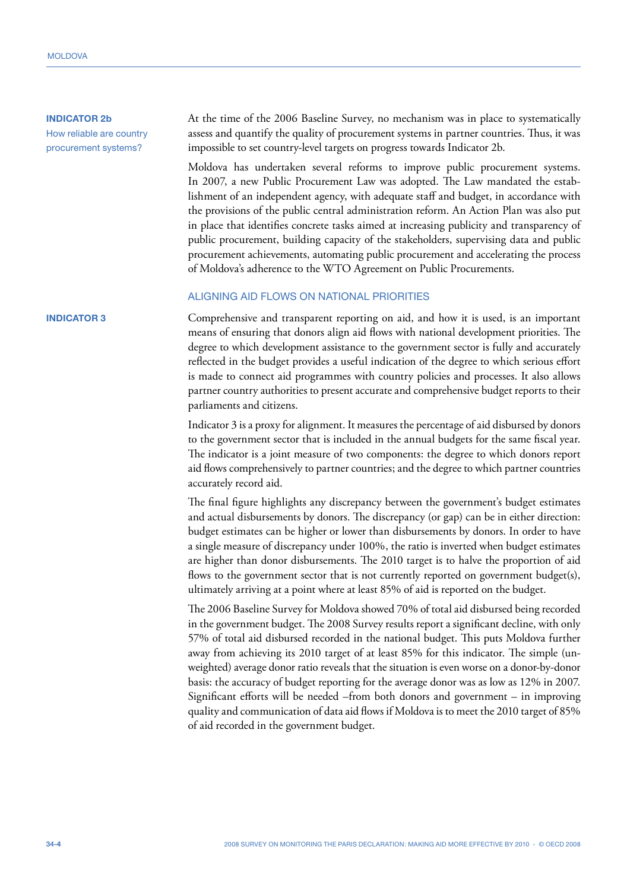#### **INDICATOR 2b**

How reliable are country procurement systems?

At the time of the 2006 Baseline Survey, no mechanism was in place to systematically assess and quantify the quality of procurement systems in partner countries. Thus, it was impossible to set country-level targets on progress towards Indicator 2b.

Moldova has undertaken several reforms to improve public procurement systems. In 2007, a new Public Procurement Law was adopted. The Law mandated the establishment of an independent agency, with adequate staff and budget, in accordance with the provisions of the public central administration reform. An Action Plan was also put in place that identifies concrete tasks aimed at increasing publicity and transparency of public procurement, building capacity of the stakeholders, supervising data and public procurement achievements, automating public procurement and accelerating the process of Moldova's adherence to the WTO Agreement on Public Procurements.

### ALIGNING AID FLOWS ON NATIONAL PRIORITIES

Comprehensive and transparent reporting on aid, and how it is used, is an important means of ensuring that donors align aid flows with national development priorities. The degree to which development assistance to the government sector is fully and accurately reflected in the budget provides a useful indication of the degree to which serious effort is made to connect aid programmes with country policies and processes. It also allows partner country authorities to present accurate and comprehensive budget reports to their parliaments and citizens.

Indicator 3 is a proxy for alignment. It measures the percentage of aid disbursed by donors to the government sector that is included in the annual budgets for the same fiscal year. The indicator is a joint measure of two components: the degree to which donors report aid flows comprehensively to partner countries; and the degree to which partner countries accurately record aid.

The final figure highlights any discrepancy between the government's budget estimates and actual disbursements by donors. The discrepancy (or gap) can be in either direction: budget estimates can be higher or lower than disbursements by donors. In order to have a single measure of discrepancy under 100%, the ratio is inverted when budget estimates are higher than donor disbursements. The 2010 target is to halve the proportion of aid flows to the government sector that is not currently reported on government budget(s), ultimately arriving at a point where at least 85% of aid is reported on the budget.

The 2006 Baseline Survey for Moldova showed 70% of total aid disbursed being recorded in the government budget. The 2008 Survey results report a significant decline, with only 57% of total aid disbursed recorded in the national budget. This puts Moldova further away from achieving its 2010 target of at least 85% for this indicator. The simple (unweighted) average donor ratio reveals that the situation is even worse on a donor-by-donor basis: the accuracy of budget reporting for the average donor was as low as 12% in 2007. Significant efforts will be needed –from both donors and government – in improving quality and communication of data aid flows if Moldova is to meet the 2010 target of 85% of aid recorded in the government budget.

#### **INDICATOR 3**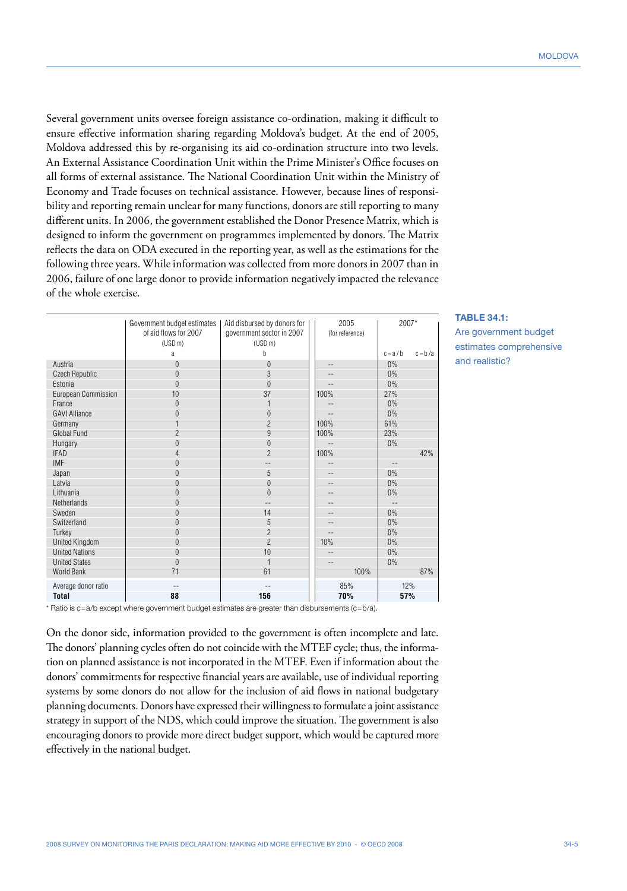Several government units oversee foreign assistance co-ordination, making it difficult to ensure effective information sharing regarding Moldova's budget. At the end of 2005, Moldova addressed this by re-organising its aid co-ordination structure into two levels. An External Assistance Coordination Unit within the Prime Minister's Office focuses on all forms of external assistance. The National Coordination Unit within the Ministry of Economy and Trade focuses on technical assistance. However, because lines of responsibility and reporting remain unclear for many functions, donors are still reporting to many different units. In 2006, the government established the Donor Presence Matrix, which is designed to inform the government on programmes implemented by donors. The Matrix reflects the data on ODA executed in the reporting year, as well as the estimations for the following three years. While information was collected from more donors in 2007 than in 2006, failure of one large donor to provide information negatively impacted the relevance of the whole exercise.

|                       | Government budget estimates<br>of aid flows for 2007<br>(USD <sub>m</sub> ) | Aid disbursed by donors for  <br>government sector in 2007<br>(USD <sub>m</sub> ) | 2005<br>(for reference) | 2007*                  |
|-----------------------|-----------------------------------------------------------------------------|-----------------------------------------------------------------------------------|-------------------------|------------------------|
|                       | a                                                                           | h                                                                                 |                         | $c = b/a$<br>$c = a/b$ |
| Austria               | $\theta$                                                                    | $\theta$                                                                          | --                      | 0%                     |
| Czech Republic        | $\theta$                                                                    | 3                                                                                 |                         | 0%                     |
| Estonia               | $\theta$                                                                    | $\theta$                                                                          |                         | 0%                     |
| European Commission   | 10                                                                          | 37                                                                                | 100%                    | 27%                    |
| France                | $\theta$                                                                    | 1                                                                                 |                         | 0%                     |
| <b>GAVI Alliance</b>  | $\theta$                                                                    | $\mathbf{0}$                                                                      | --                      | 0%                     |
| Germany               |                                                                             | $\overline{2}$                                                                    | 100%                    | 61%                    |
| Global Fund           | $\overline{2}$                                                              | 9                                                                                 | 100%                    | 23%                    |
| Hungary               | $\Omega$                                                                    | $\mathbf{0}$                                                                      | $-$                     | 0%                     |
| <b>IFAD</b>           | 4                                                                           | $\overline{c}$                                                                    | 100%                    | 42%                    |
| <b>IMF</b>            | $\Omega$                                                                    | --                                                                                | --                      | $-$                    |
| Japan                 | $\theta$                                                                    | 5                                                                                 | --                      | 0%                     |
| Latvia                | $\theta$                                                                    | $\mathbf{0}$                                                                      | --                      | 0%                     |
| Lithuania             | $\Omega$                                                                    | $\mathbf{0}$                                                                      |                         | 0%                     |
| Netherlands           | $\Omega$                                                                    | --                                                                                | --                      | --                     |
| Sweden                | $\theta$                                                                    | 14                                                                                | --                      | 0%                     |
| Switzerland           | $\Omega$                                                                    | 5                                                                                 | $-$                     | 0%                     |
| Turkey                | $\Omega$                                                                    | $\overline{2}$                                                                    |                         | 0%                     |
| <b>United Kingdom</b> | $\Omega$                                                                    | $\overline{2}$                                                                    | 10%                     | 0%                     |
| <b>United Nations</b> | $\Omega$                                                                    | 10                                                                                |                         | 0%                     |
| <b>United States</b>  | $\Omega$                                                                    | $\mathbf{1}$                                                                      |                         | 0%                     |
| World Bank            | 71                                                                          | 61                                                                                | 100%                    | 87%                    |
| Average donor ratio   |                                                                             |                                                                                   | 85%                     | 12%                    |
| <b>Total</b>          | 88                                                                          | 156                                                                               | 70%                     | 57%                    |

#### **TABLE 34.1:**

Are government budget estimates comprehensive and realistic?

\* Ratio is c=a/b except where government budget estimates are greater than disbursements (c=b/a).

On the donor side, information provided to the government is often incomplete and late. The donors' planning cycles often do not coincide with the MTEF cycle; thus, the information on planned assistance is not incorporated in the MTEF. Even if information about the donors' commitments for respective financial years are available, use of individual reporting systems by some donors do not allow for the inclusion of aid flows in national budgetary planning documents. Donors have expressed their willingness to formulate a joint assistance strategy in support of the NDS, which could improve the situation. The government is also encouraging donors to provide more direct budget support, which would be captured more effectively in the national budget.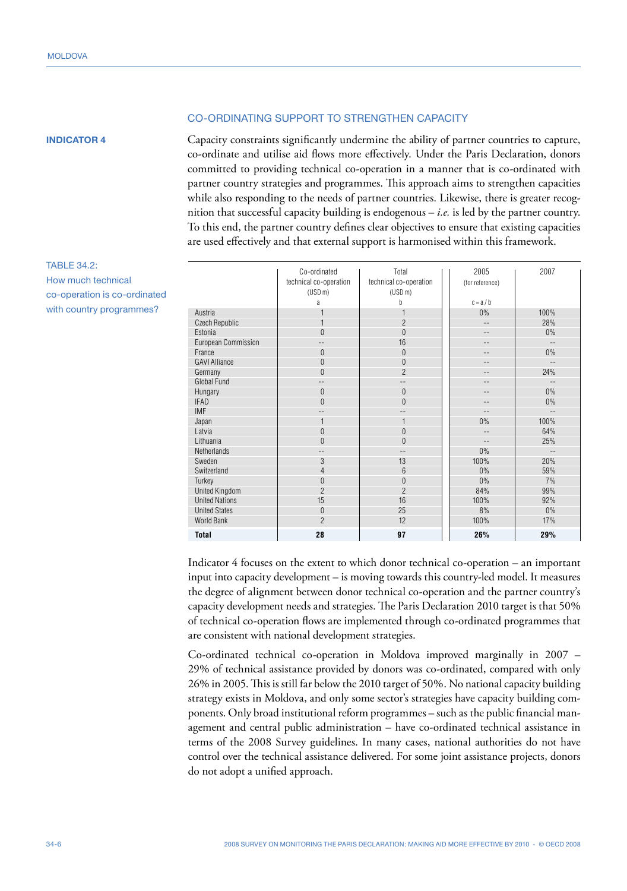### CO-ORDINATING SUPPORT TO STRENGTHEN CAPACITY

#### **INDICATOR 4**

Capacity constraints significantly undermine the ability of partner countries to capture, co-ordinate and utilise aid flows more effectively. Under the Paris Declaration, donors committed to providing technical co-operation in a manner that is co-ordinated with partner country strategies and programmes. This approach aims to strengthen capacities while also responding to the needs of partner countries. Likewise, there is greater recognition that successful capacity building is endogenous – *i.e.* is led by the partner country. To this end, the partner country defines clear objectives to ensure that existing capacities are used effectively and that external support is harmonised within this framework.

|                       | Co-ordinated<br>technical co-operation<br>(USD <sub>m</sub> ) | Total<br>technical co-operation<br>(USD <sub>m</sub> ) | 2005<br>(for reference) | 2007              |
|-----------------------|---------------------------------------------------------------|--------------------------------------------------------|-------------------------|-------------------|
|                       |                                                               | h                                                      | $c = a/b$               |                   |
|                       | a                                                             |                                                        |                         |                   |
| Austria               |                                                               |                                                        | 0%                      | 100%              |
| Czech Republic        |                                                               | $\overline{2}$                                         |                         | 28%               |
| Estonia               | $\Omega$                                                      | $\Omega$                                               | --                      | $0\%$             |
| European Commission   | --                                                            | 16                                                     | --                      | $\qquad \qquad -$ |
| France                | $\mathbf{0}$                                                  | $\Omega$                                               |                         | $0\%$             |
| <b>GAVI Alliance</b>  | $\mathbf{0}$                                                  | $\mathbf{0}$                                           |                         |                   |
| Germany               | $\mathbf{0}$                                                  | $\overline{2}$                                         | --                      | 24%               |
| <b>Global Fund</b>    | --                                                            | --                                                     |                         | --                |
| Hungary               | $\theta$                                                      | $\theta$                                               |                         | $0\%$             |
| <b>IFAD</b>           | $\mathbf{0}$                                                  | $\Omega$                                               |                         | $0\%$             |
| <b>IMF</b>            |                                                               |                                                        |                         |                   |
| Japan                 |                                                               |                                                        | 0%                      | 100%              |
| Latvia                | $\mathbf{0}$                                                  | $\Omega$                                               |                         | 64%               |
| Lithuania             | $\theta$                                                      | $\Omega$                                               |                         | 25%               |
| Netherlands           | --                                                            | --                                                     | 0%                      |                   |
| Sweden                | 3                                                             | 13                                                     | 100%                    | 20%               |
| Switzerland           | 4                                                             | 6                                                      | 0%                      | 59%               |
| Turkey                | $\mathbf{0}$                                                  | $\Omega$                                               | 0%                      | 7%                |
| <b>United Kingdom</b> | $\overline{2}$                                                | $\overline{2}$                                         | 84%                     | 99%               |
| <b>United Nations</b> | 15                                                            | 16                                                     | 100%                    | 92%               |
| <b>United States</b>  | $\Omega$                                                      | 25                                                     | 8%                      | 0%                |
| World Bank            | $\overline{2}$                                                | 12                                                     | 100%                    | 17%               |
| <b>Total</b>          | 28                                                            | 97                                                     | 26%                     | 29%               |

Indicator 4 focuses on the extent to which donor technical co-operation – an important input into capacity development – is moving towards this country-led model. It measures the degree of alignment between donor technical co-operation and the partner country's capacity development needs and strategies. The Paris Declaration 2010 target is that 50% of technical co-operation flows are implemented through co-ordinated programmes that are consistent with national development strategies.

Co-ordinated technical co-operation in Moldova improved marginally in 2007 – 29% of technical assistance provided by donors was co-ordinated, compared with only 26% in 2005. This is still far below the 2010 target of 50%. No national capacity building strategy exists in Moldova, and only some sector's strategies have capacity building components. Only broad institutional reform programmes – such as the public financial management and central public administration – have co-ordinated technical assistance in terms of the 2008 Survey guidelines. In many cases, national authorities do not have control over the technical assistance delivered. For some joint assistance projects, donors do not adopt a unified approach.

# TABLE 34.2:

How much technical co-operation is co-ordinated with country programmes?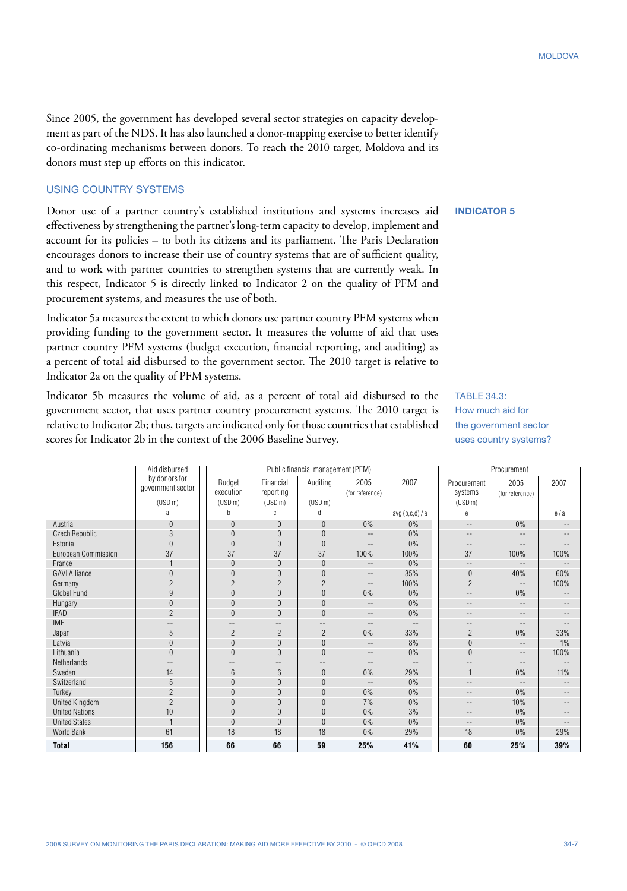Since 2005, the government has developed several sector strategies on capacity development as part of the NDS. It has also launched a donor-mapping exercise to better identify co-ordinating mechanisms between donors. To reach the 2010 target, Moldova and its donors must step up efforts on this indicator.

# USING COUNTRY SYSTEMS

Donor use of a partner country's established institutions and systems increases aid effectiveness by strengthening the partner's long-term capacity to develop, implement and account for its policies – to both its citizens and its parliament. The Paris Declaration encourages donors to increase their use of country systems that are of sufficient quality, and to work with partner countries to strengthen systems that are currently weak. In this respect, Indicator 5 is directly linked to Indicator 2 on the quality of PFM and procurement systems, and measures the use of both.

Indicator 5a measures the extent to which donors use partner country PFM systems when providing funding to the government sector. It measures the volume of aid that uses partner country PFM systems (budget execution, financial reporting, and auditing) as a percent of total aid disbursed to the government sector. The 2010 target is relative to Indicator 2a on the quality of PFM systems.

Indicator 5b measures the volume of aid, as a percent of total aid disbursed to the government sector, that uses partner country procurement systems. The 2010 target is relative to Indicator 2b; thus, targets are indicated only for those countries that established scores for Indicator 2b in the context of the 2006 Baseline Survey.

| <b>INDICATOR 5</b> |  |  |  |
|--------------------|--|--|--|
|                    |  |  |  |

TABLE 34.3: How much aid for the government sector uses country systems?

|                       | Aid disbursed                      | Public financial management (PFM) |                     |                     |                          | Procurement       |                     |                   |                   |
|-----------------------|------------------------------------|-----------------------------------|---------------------|---------------------|--------------------------|-------------------|---------------------|-------------------|-------------------|
|                       | by donors for<br>government sector | Budget                            | Financial           | Auditing            | 2005                     | 2007              | Procurement         | 2005              | 2007              |
|                       |                                    | execution                         | reporting           |                     | (for reference)          |                   | systems             | (for reference)   |                   |
|                       | (USD <sub>m</sub> )                | (USD <sub>m</sub> )               | (USD <sub>m</sub> ) | (USD <sub>m</sub> ) |                          |                   | (USD <sub>m</sub> ) |                   |                   |
|                       | a                                  | h                                 | C                   | d                   |                          | avg(b,c,d)/a      | e                   |                   | e/a               |
| Austria               | $\theta$                           | $\theta$                          | $\theta$            | $\theta$            | 0%                       | 0%                | $-\,-$              | $0\%$             |                   |
| Czech Republic        | 3                                  | $\Omega$                          | $\pmb{0}$           | $\theta$            | $\overline{\phantom{m}}$ | 0%                | $-\,-$              | $\qquad \qquad -$ | $\qquad \qquad -$ |
| Estonia               | $\theta$                           | $\theta$                          | $\mathbf{0}$        | $\mathbf{0}$        | $\qquad \qquad -$        | 0%                | $-\,-$              | $-$               |                   |
| European Commission   | 37                                 | 37                                | 37                  | 37                  | 100%                     | 100%              | 37                  | 100%              | 100%              |
| France                |                                    | $\theta$                          | $\pmb{0}$           | $\theta$            | $\qquad \qquad -$        | 0%                | $-\,-$              | $\qquad \qquad -$ |                   |
| <b>GAVI Alliance</b>  | $\theta$                           | $\mathbf{0}$                      | $\mathbf{0}$        | $\theta$            | $\qquad \qquad -$        | 35%               | $\theta$            | 40%               | 60%               |
| Germany               | $\overline{c}$                     | $\overline{2}$                    | $\overline{2}$      | $\overline{2}$      | $\qquad \qquad -$        | 100%              | $\overline{2}$      | $\qquad \qquad -$ | 100%              |
| Global Fund           | 9                                  | $\Omega$                          | $\mathbf{0}$        | $\theta$            | 0%                       | 0%                | $-$                 | 0%                | $\qquad \qquad -$ |
| Hungary               | $\overline{0}$                     | $\theta$                          | $\pmb{0}$           | $\theta$            | $\qquad \qquad -$        | 0%                | $\qquad \qquad -$   | --                |                   |
| <b>IFAD</b>           | $\overline{2}$                     | $\mathbf{0}$                      | $\mathbf{0}$        | $\mathbf{0}$        | $-$                      | 0%                | $-$                 | --                |                   |
| <b>IMF</b>            | --                                 | $\overline{\phantom{m}}$          | $\qquad \qquad -$   | $\qquad \qquad -$   | $\qquad \qquad -$        |                   | $\qquad \qquad -$   | $\qquad \qquad -$ |                   |
| Japan                 | 5                                  | $\overline{2}$                    | $\overline{c}$      | $\overline{2}$      | 0%                       | 33%               | $\overline{2}$      | 0%                | 33%               |
| Latvia                | $\theta$                           | $\mathbf{0}$                      | $\mathbf{0}$        | $\theta$            | $\qquad \qquad -$        | 8%                | $\theta$            | $\qquad \qquad -$ | $1\%$             |
| Lithuania             | $\overline{0}$                     | $\mathbf{0}$                      | $\mathbf{0}$        | $\mathbf{0}$        | $\qquad \qquad -$        | 0%                | $\mathbf{0}$        | --                | 100%              |
| Netherlands           | $\qquad \qquad -$                  | $\qquad \qquad -$                 | $\qquad \qquad -$   | $-\,-$              | $\qquad \qquad -$        | $\qquad \qquad -$ | $\qquad \qquad -$   | $-\,-$            | $-\,-$            |
| Sweden                | 14                                 | 6                                 | $6\,$               | $\theta$            | $0\%$                    | 29%               |                     | 0%                | 11%               |
| Switzerland           | 5                                  | $\Omega$                          | $\theta$            | $\theta$            | $\qquad \qquad -$        | 0%                | $\qquad \qquad -$   | $\qquad \qquad -$ | $\qquad \qquad -$ |
| Turkey                | $\overline{2}$                     | $\theta$                          | $\overline{0}$      | $\Omega$            | 0%                       | 0%                | $-\,-$              | 0%                | $\qquad \qquad -$ |
| <b>United Kingdom</b> | $\overline{2}$                     | $\Omega$                          | $\mathbf{0}$        | $\theta$            | 7%                       | 0%                | $-\,-$              | 10%               | $-\,-$            |
| <b>United Nations</b> | 10                                 | $\theta$                          | $\overline{0}$      | $\Omega$            | 0%                       | 3%                | $-\,-$              | 0%                |                   |
| <b>United States</b>  |                                    | $\Omega$                          | $\mathbf{0}$        | $\Omega$            | 0%                       | 0%                | $-\,-$              | 0%                | $-\,-$            |
| World Bank            | 61                                 | 18                                | 18                  | 18                  | 0%                       | 29%               | 18                  | 0%                | 29%               |
| <b>Total</b>          | 156                                | 66                                | 66                  | 59                  | 25%                      | 41%               | 60                  | 25%               | 39%               |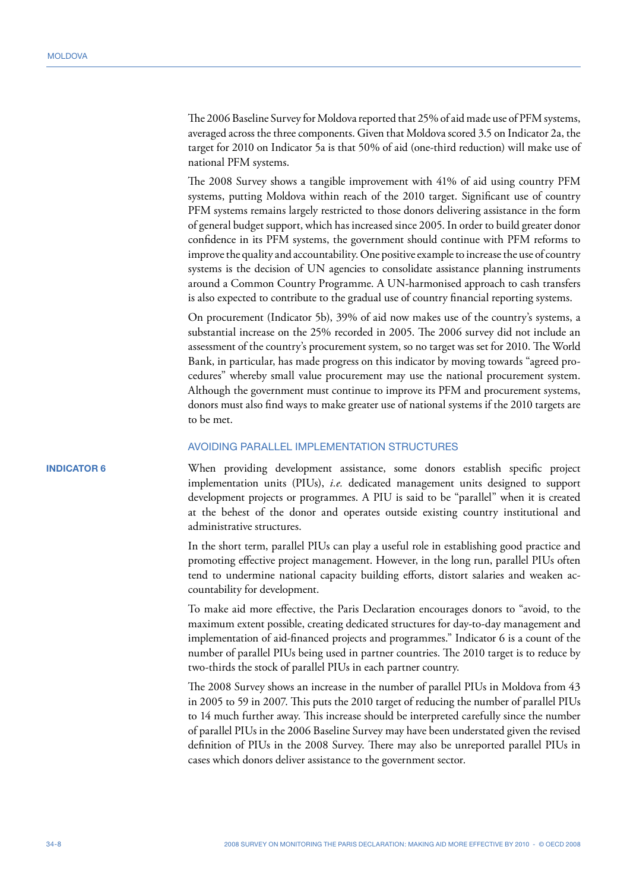The 2006 Baseline Survey for Moldova reported that 25% of aid made use of PFM systems, averaged across the three components. Given that Moldova scored 3.5 on Indicator 2a, the target for 2010 on Indicator 5a is that 50% of aid (one-third reduction) will make use of national PFM systems.

The 2008 Survey shows a tangible improvement with 41% of aid using country PFM systems, putting Moldova within reach of the 2010 target. Significant use of country PFM systems remains largely restricted to those donors delivering assistance in the form of general budget support, which has increased since 2005. In order to build greater donor confidence in its PFM systems, the government should continue with PFM reforms to improve the quality and accountability. One positive example to increase the use of country systems is the decision of UN agencies to consolidate assistance planning instruments around a Common Country Programme. A UN-harmonised approach to cash transfers is also expected to contribute to the gradual use of country financial reporting systems.

On procurement (Indicator 5b), 39% of aid now makes use of the country's systems, a substantial increase on the 25% recorded in 2005. The 2006 survey did not include an assessment of the country's procurement system, so no target was set for 2010. The World Bank, in particular, has made progress on this indicator by moving towards "agreed procedures" whereby small value procurement may use the national procurement system. Although the government must continue to improve its PFM and procurement systems, donors must also find ways to make greater use of national systems if the 2010 targets are to be met.

#### AVOIDING PARALLEL IMPLEMENTATION STRUCTURES

When providing development assistance, some donors establish specific project implementation units (PIUs), *i.e.* dedicated management units designed to support development projects or programmes. A PIU is said to be "parallel" when it is created at the behest of the donor and operates outside existing country institutional and administrative structures.

In the short term, parallel PIUs can play a useful role in establishing good practice and promoting effective project management. However, in the long run, parallel PIUs often tend to undermine national capacity building efforts, distort salaries and weaken accountability for development.

To make aid more effective, the Paris Declaration encourages donors to "avoid, to the maximum extent possible, creating dedicated structures for day-to-day management and implementation of aid-financed projects and programmes." Indicator 6 is a count of the number of parallel PIUs being used in partner countries. The 2010 target is to reduce by two-thirds the stock of parallel PIUs in each partner country.

The 2008 Survey shows an increase in the number of parallel PIUs in Moldova from 43 in 2005 to 59 in 2007. This puts the 2010 target of reducing the number of parallel PIUs to 14 much further away. This increase should be interpreted carefully since the number of parallel PIUs in the 2006 Baseline Survey may have been understated given the revised definition of PIUs in the 2008 Survey. There may also be unreported parallel PIUs in cases which donors deliver assistance to the government sector.

#### **INDICATOR 6**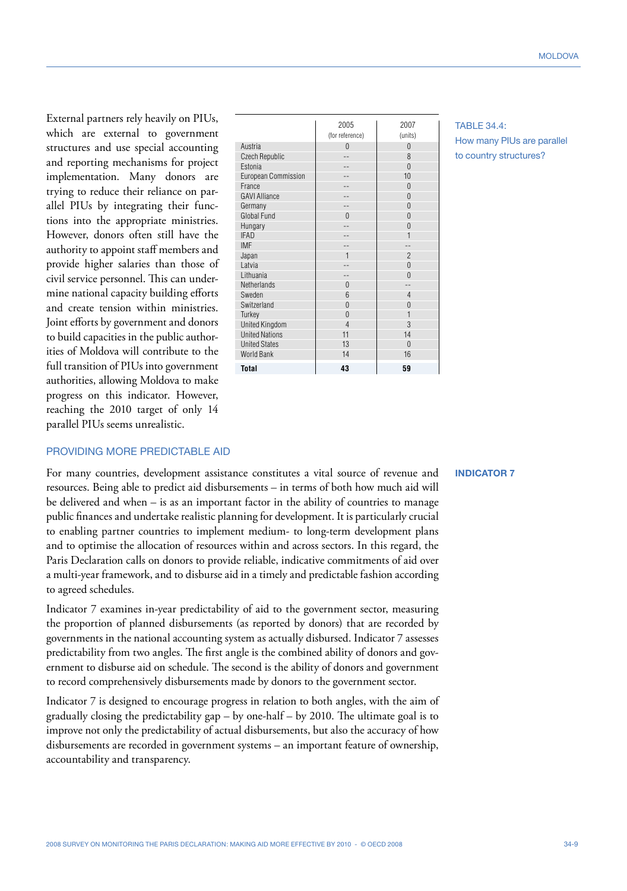External partners rely heavily on PIUs, which are external to government structures and use special accounting and reporting mechanisms for project implementation. Many donors are trying to reduce their reliance on parallel PIUs by integrating their functions into the appropriate ministries. However, donors often still have the authority to appoint staff members and provide higher salaries than those of civil service personnel. This can undermine national capacity building efforts and create tension within ministries. Joint efforts by government and donors to build capacities in the public authorities of Moldova will contribute to the full transition of PIUs into government authorities, allowing Moldova to make progress on this indicator. However, reaching the 2010 target of only 14 parallel PIUs seems unrealistic.

|                            | 2005<br>(for reference) | 2007<br>(units) |
|----------------------------|-------------------------|-----------------|
| Austria                    | $\Omega$                | $\Omega$        |
| <b>Czech Republic</b>      |                         | 8               |
| Estonia                    |                         | $\Omega$        |
| <b>European Commission</b> |                         | 10              |
| France                     |                         | $\Omega$        |
| <b>GAVI Alliance</b>       |                         | $\Omega$        |
| Germany                    |                         | $\Omega$        |
| Global Fund                | U                       | N               |
| Hungary                    |                         | N               |
| <b>IFAD</b>                |                         | 1               |
| <b>IMF</b>                 |                         |                 |
| Japan                      | 1                       | $\mathfrak{p}$  |
| Latvia                     |                         | $\Omega$        |
| Lithuania                  |                         | N               |
| Netherlands                | $\Omega$                |                 |
| Sweden                     | 6                       | $\overline{4}$  |
| Switzerland                | $\Omega$                | N               |
| Turkey                     | $\Omega$                | 1               |
| <b>United Kingdom</b>      | $\overline{\Delta}$     | $\overline{3}$  |
| <b>United Nations</b>      | 11                      | 14              |
| <b>United States</b>       | 13                      | $\Omega$        |
| <b>World Bank</b>          | 14                      | 16              |
| <b>Total</b>               | 43                      | 59              |

TABLE 34.4: How many PIUs are parallel to country structures?

#### PROVIDING MORE PREDICTABLE AID

For many countries, development assistance constitutes a vital source of revenue and resources. Being able to predict aid disbursements – in terms of both how much aid will be delivered and when – is as an important factor in the ability of countries to manage public finances and undertake realistic planning for development. It is particularly crucial to enabling partner countries to implement medium- to long-term development plans and to optimise the allocation of resources within and across sectors. In this regard, the Paris Declaration calls on donors to provide reliable, indicative commitments of aid over a multi-year framework, and to disburse aid in a timely and predictable fashion according to agreed schedules.

Indicator 7 examines in-year predictability of aid to the government sector, measuring the proportion of planned disbursements (as reported by donors) that are recorded by governments in the national accounting system as actually disbursed. Indicator 7 assesses predictability from two angles. The first angle is the combined ability of donors and government to disburse aid on schedule. The second is the ability of donors and government to record comprehensively disbursements made by donors to the government sector.

Indicator 7 is designed to encourage progress in relation to both angles, with the aim of gradually closing the predictability gap – by one-half – by 2010. The ultimate goal is to improve not only the predictability of actual disbursements, but also the accuracy of how disbursements are recorded in government systems – an important feature of ownership, accountability and transparency.

#### **INDICATOR 7**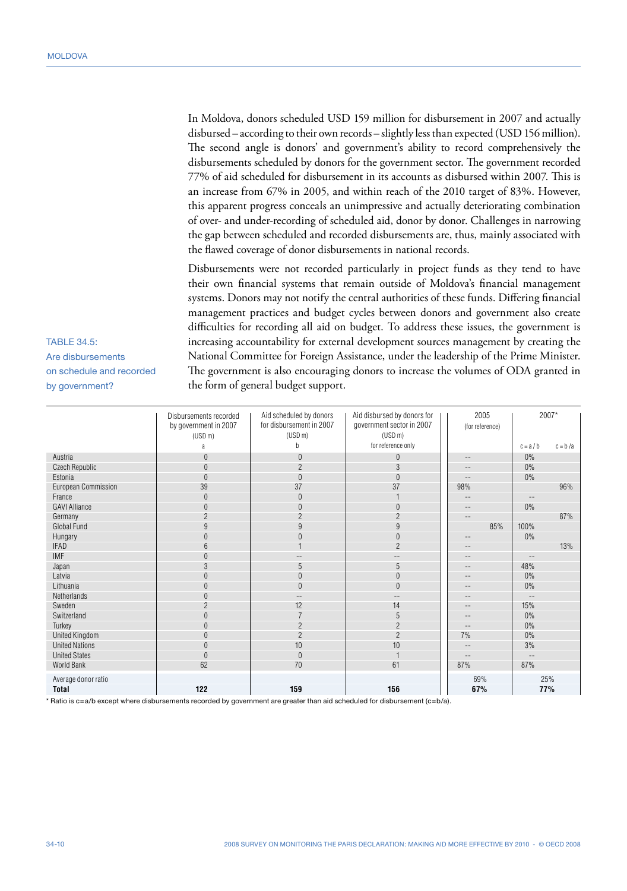TABLE 34.5: Are disbursements on schedule and recorded

by government?

In Moldova, donors scheduled USD 159 million for disbursement in 2007 and actually disbursed – according to their own records – slightly less than expected (USD 156 million). The second angle is donors' and government's ability to record comprehensively the disbursements scheduled by donors for the government sector. The government recorded 77% of aid scheduled for disbursement in its accounts as disbursed within 2007. This is an increase from 67% in 2005, and within reach of the 2010 target of 83%. However, this apparent progress conceals an unimpressive and actually deteriorating combination of over- and under-recording of scheduled aid, donor by donor. Challenges in narrowing the gap between scheduled and recorded disbursements are, thus, mainly associated with the flawed coverage of donor disbursements in national records.

Disbursements were not recorded particularly in project funds as they tend to have their own financial systems that remain outside of Moldova's financial management systems. Donors may not notify the central authorities of these funds. Differing financial management practices and budget cycles between donors and government also create difficulties for recording all aid on budget. To address these issues, the government is increasing accountability for external development sources management by creating the National Committee for Foreign Assistance, under the leadership of the Prime Minister. The government is also encouraging donors to increase the volumes of ODA granted in the form of general budget support.

|                       | Aid disbursed by donors for<br>Aid scheduled by donors<br>Disbursements recorded<br>for disbursement in 2007<br>government sector in 2007<br>by government in 2007<br>(USD <sub>m</sub> )<br>(USD <sub>m</sub> )<br>$(USD \, m)$ |                   | 2005<br>(for reference) | 2007*             |                          |
|-----------------------|----------------------------------------------------------------------------------------------------------------------------------------------------------------------------------------------------------------------------------|-------------------|-------------------------|-------------------|--------------------------|
|                       | a                                                                                                                                                                                                                                | h                 | for reference only      |                   | $c = a/b$<br>$c = b/a$   |
| Austria               | $\pmb{0}$                                                                                                                                                                                                                        | $\Omega$          | $\Omega$                | $-\,-$            | 0%                       |
| Czech Republic        | $\pmb{0}$                                                                                                                                                                                                                        | $\overline{2}$    | 3                       |                   | 0%                       |
| Estonia               | $\theta$                                                                                                                                                                                                                         | $\overline{0}$    | $\Omega$                |                   | 0%                       |
| European Commission   | 39                                                                                                                                                                                                                               | 37                | 37                      | 98%               | 96%                      |
| France                | $\mathbf 0$                                                                                                                                                                                                                      | $\theta$          |                         | $-$               | $\overline{\phantom{m}}$ |
| <b>GAVI Alliance</b>  | $\mathbf 0$                                                                                                                                                                                                                      | $\overline{0}$    | $\theta$                |                   | 0%                       |
| Germany               | $\overline{2}$                                                                                                                                                                                                                   | $\overline{2}$    | $\overline{2}$          | $-\,-$            | 87%                      |
| Global Fund           | 9                                                                                                                                                                                                                                | $\overline{9}$    | 9                       | 85%               | 100%                     |
| Hungary               | $\mathbf{0}$                                                                                                                                                                                                                     | $\Omega$          | $\theta$                | $-$               | 0%                       |
| <b>IFAD</b>           | 6                                                                                                                                                                                                                                |                   | $\overline{2}$          | $-$               | 13%                      |
| <b>IMF</b>            | $\pmb{0}$                                                                                                                                                                                                                        |                   |                         | $\qquad \qquad -$ | $\qquad \qquad -$        |
| Japan                 | 3                                                                                                                                                                                                                                | 5                 | 5                       | $-$               | 48%                      |
| Latvia                | $\theta$                                                                                                                                                                                                                         | $\theta$          | $\theta$                | $- -$             | 0%                       |
| Lithuania             | $\overline{0}$                                                                                                                                                                                                                   | $\Omega$          | $\Omega$                | $\qquad \qquad -$ | 0%                       |
| Netherlands           | $\mathbf{0}$                                                                                                                                                                                                                     | $\qquad \qquad -$ | $ -$                    | $- -$             |                          |
| Sweden                | $\overline{2}$                                                                                                                                                                                                                   | 12                | 14                      | $-$               | 15%                      |
| Switzerland           | $\pmb{0}$                                                                                                                                                                                                                        |                   | 5                       | $-\,-$            | 0%                       |
| Turkey                | $\mathbf{0}$                                                                                                                                                                                                                     | $\overline{2}$    | $\overline{2}$          | $\qquad \qquad -$ | 0%                       |
| <b>United Kingdom</b> | $\mathbf{0}$                                                                                                                                                                                                                     | $\overline{2}$    | $\overline{2}$          | 7%                | 0%                       |
| <b>United Nations</b> | $\overline{0}$                                                                                                                                                                                                                   | 10                | 10                      | $-$               | 3%                       |
| <b>United States</b>  | $\theta$                                                                                                                                                                                                                         | $\theta$          |                         | $-\,-$            | $\overline{\phantom{m}}$ |
| World Bank            | 62                                                                                                                                                                                                                               | 70                | 61                      | 87%               | 87%                      |
| Average donor ratio   |                                                                                                                                                                                                                                  |                   |                         | 69%               | 25%                      |
| Total                 | 122                                                                                                                                                                                                                              | 159               | 156                     | 67%               | 77%                      |

\* Ratio is c=a/b except where disbursements recorded by government are greater than aid scheduled for disbursement (c=b/a).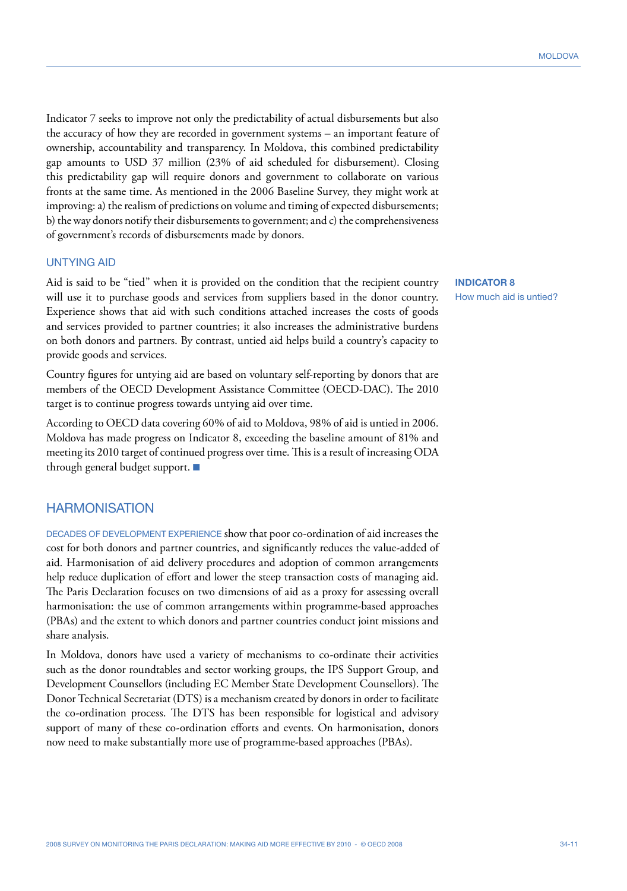Indicator 7 seeks to improve not only the predictability of actual disbursements but also the accuracy of how they are recorded in government systems – an important feature of ownership, accountability and transparency. In Moldova, this combined predictability gap amounts to USD 37 million (23% of aid scheduled for disbursement). Closing this predictability gap will require donors and government to collaborate on various fronts at the same time. As mentioned in the 2006 Baseline Survey, they might work at improving: a) the realism of predictions on volume and timing of expected disbursements; b) the way donors notify their disbursements to government; and c) the comprehensiveness of government's records of disbursements made by donors.

#### UNTYING AID

Aid is said to be "tied" when it is provided on the condition that the recipient country will use it to purchase goods and services from suppliers based in the donor country. Experience shows that aid with such conditions attached increases the costs of goods and services provided to partner countries; it also increases the administrative burdens on both donors and partners. By contrast, untied aid helps build a country's capacity to provide goods and services.

Country figures for untying aid are based on voluntary self-reporting by donors that are members of the OECD Development Assistance Committee (OECD-DAC). The 2010 target is to continue progress towards untying aid over time.

According to OECD data covering 60% of aid to Moldova, 98% of aid is untied in 2006. Moldova has made progress on Indicator 8, exceeding the baseline amount of 81% and meeting its 2010 target of continued progress over time. This is a result of increasing ODA through general budget support. ■

# **HARMONISATION**

DECADES OF DEVELOPMENT EXPERIENCE show that poor co-ordination of aid increases the cost for both donors and partner countries, and significantly reduces the value-added of aid. Harmonisation of aid delivery procedures and adoption of common arrangements help reduce duplication of effort and lower the steep transaction costs of managing aid. The Paris Declaration focuses on two dimensions of aid as a proxy for assessing overall harmonisation: the use of common arrangements within programme-based approaches (PBAs) and the extent to which donors and partner countries conduct joint missions and share analysis.

In Moldova, donors have used a variety of mechanisms to co-ordinate their activities such as the donor roundtables and sector working groups, the IPS Support Group, and Development Counsellors (including EC Member State Development Counsellors). The Donor Technical Secretariat (DTS) is a mechanism created by donors in order to facilitate the co-ordination process. The DTS has been responsible for logistical and advisory support of many of these co-ordination efforts and events. On harmonisation, donors now need to make substantially more use of programme-based approaches (PBAs).

**INDICATOR 8** How much aid is untied?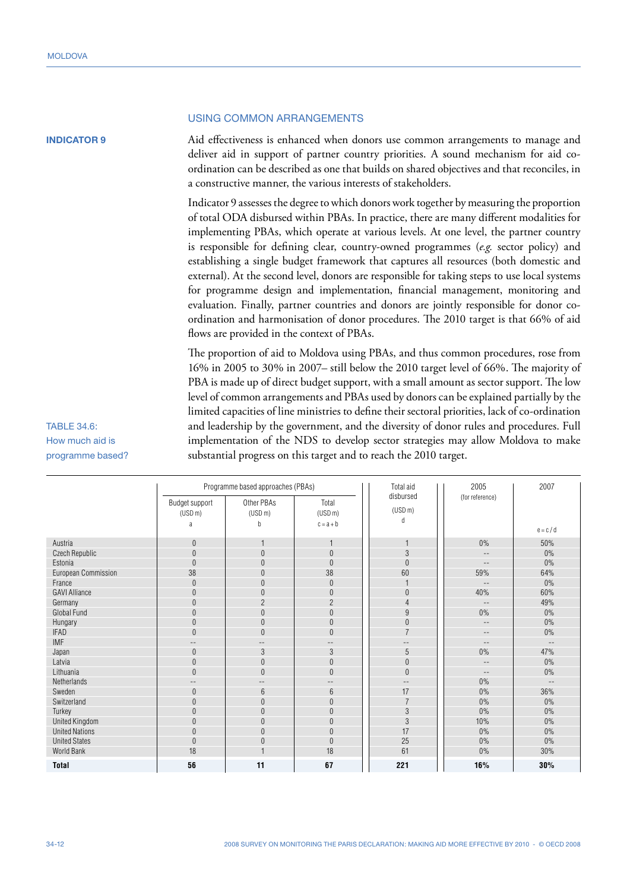**INDICATOR 9**

#### USING COMMON ARRANGEMENTS

Aid effectiveness is enhanced when donors use common arrangements to manage and deliver aid in support of partner country priorities. A sound mechanism for aid coordination can be described as one that builds on shared objectives and that reconciles, in a constructive manner, the various interests of stakeholders.

Indicator 9 assesses the degree to which donors work together by measuring the proportion of total ODA disbursed within PBAs. In practice, there are many different modalities for implementing PBAs, which operate at various levels. At one level, the partner country is responsible for defining clear, country-owned programmes (*e.g.* sector policy) and establishing a single budget framework that captures all resources (both domestic and external). At the second level, donors are responsible for taking steps to use local systems for programme design and implementation, financial management, monitoring and evaluation. Finally, partner countries and donors are jointly responsible for donor coordination and harmonisation of donor procedures. The 2010 target is that 66% of aid flows are provided in the context of PBAs.

The proportion of aid to Moldova using PBAs, and thus common procedures, rose from 16% in 2005 to 30% in 2007– still below the 2010 target level of 66%. The majority of PBA is made up of direct budget support, with a small amount as sector support. The low level of common arrangements and PBAs used by donors can be explained partially by the limited capacities of line ministries to define their sectoral priorities, lack of co-ordination and leadership by the government, and the diversity of donor rules and procedures. Full implementation of the NDS to develop sector strategies may allow Moldova to make substantial progress on this target and to reach the 2010 target.

| TABLE 34.6:      |
|------------------|
| How much aid is  |
| programme based? |

 $T_{\rm T}$   $T_{\rm T}$   $T_{\rm T}$   $T_{\rm T}$   $T_{\rm T}$ 

|                       | Programme based approaches (PBAs)          |                                 |                                             | Total aid                             | 2005                     | 2007                     |
|-----------------------|--------------------------------------------|---------------------------------|---------------------------------------------|---------------------------------------|--------------------------|--------------------------|
|                       | Budget support<br>(USD <sub>m</sub> )<br>a | Other PBAs<br>$(USD \, m)$<br>b | Total<br>(USD <sub>m</sub> )<br>$c = a + b$ | disbursed<br>(USD <sub>m</sub> )<br>d | (for reference)          | $e = c / d$              |
| Austria               | $\theta$                                   | $\mathbf{1}$                    |                                             | $\mathbf{1}$                          | 0%                       | 50%                      |
| Czech Republic        | $\pmb{0}$                                  | $\mathbf{0}$                    | $\theta$                                    | 3                                     | $\overline{\phantom{m}}$ | 0%                       |
| Estonia               | $\bf 0$                                    | $\mathbf{0}$                    | $\theta$                                    | $\mathbf{0}$                          | $-$                      | $0\%$                    |
| European Commission   | 38                                         | $\mathbf{0}$                    | 38                                          | 60                                    | 59%                      | 64%                      |
| France                | $\pmb{0}$                                  | $\mathbf{0}$                    | $\theta$                                    | $\mathbf{1}$                          | $\frac{1}{2}$            | $0\%$                    |
| <b>GAVI Alliance</b>  | $\pmb{0}$                                  | $\pmb{0}$                       | $\theta$                                    | $\mathbf{0}$                          | 40%                      | 60%                      |
| Germany               | $\bf 0$                                    | $\overline{2}$                  | $\overline{2}$                              | $\overline{4}$                        | $\qquad \qquad -$        | 49%                      |
| Global Fund           | $\pmb{0}$                                  | $\mathbf{0}$                    | $\Omega$                                    | $\overline{9}$                        | 0%                       | 0%                       |
| Hungary               | $\pmb{0}$                                  | $\mathbf{0}$                    | $\theta$                                    | $\overline{0}$                        | $\qquad \qquad -$        | 0%                       |
| <b>IFAD</b>           | $\bf 0$                                    | $\pmb{0}$                       | $\theta$                                    | $\overline{7}$                        | $\qquad \qquad -$        | 0%                       |
| <b>IMF</b>            | $\qquad \qquad -$                          | $\qquad \qquad -$               | --                                          | $\qquad \qquad -$                     | $\qquad \qquad -$        | $-\,-$                   |
| Japan                 | $\pmb{0}$                                  | 3                               | 3                                           | 5                                     | 0%                       | 47%                      |
| Latvia                | $\pmb{0}$                                  | $\pmb{0}$                       | $\theta$                                    | $\mathbf{0}$                          | $\qquad \qquad -$        | 0%                       |
| Lithuania             | $\theta$                                   | $\pmb{0}$                       | $\theta$                                    | $\mathbf{0}$                          | $\qquad \qquad -$        | 0%                       |
| Netherlands           | $\qquad \qquad -$                          | $\qquad \qquad -$               | --                                          | $\qquad \qquad -$                     | 0%                       | $\overline{\phantom{m}}$ |
| Sweden                | $\theta$                                   | $6\phantom{1}$                  | 6                                           | 17                                    | 0%                       | 36%                      |
| Switzerland           | $\pmb{0}$                                  | $\pmb{0}$                       | $\theta$                                    | $\overline{7}$                        | 0%                       | 0%                       |
| Turkey                | 0                                          | $\theta$                        | $\theta$                                    | 3                                     | 0%                       | 0%                       |
| United Kingdom        | $\boldsymbol{0}$                           | $\pmb{0}$                       | $\Omega$                                    | 3                                     | 10%                      | 0%                       |
| <b>United Nations</b> | $\mathbf{0}$                               | $\mathbf{0}$                    | $\Omega$                                    | 17                                    | 0%                       | 0%                       |
| <b>United States</b>  | $\pmb{0}$                                  | $\mathbf{0}$                    | $\Omega$                                    | 25                                    | 0%                       | $0\%$                    |
| World Bank            | 18                                         | $\mathbf{1}$                    | 18                                          | 61                                    | 0%                       | 30%                      |
| <b>Total</b>          | 56                                         | 11                              | 67                                          | 221                                   | 16%                      | 30%                      |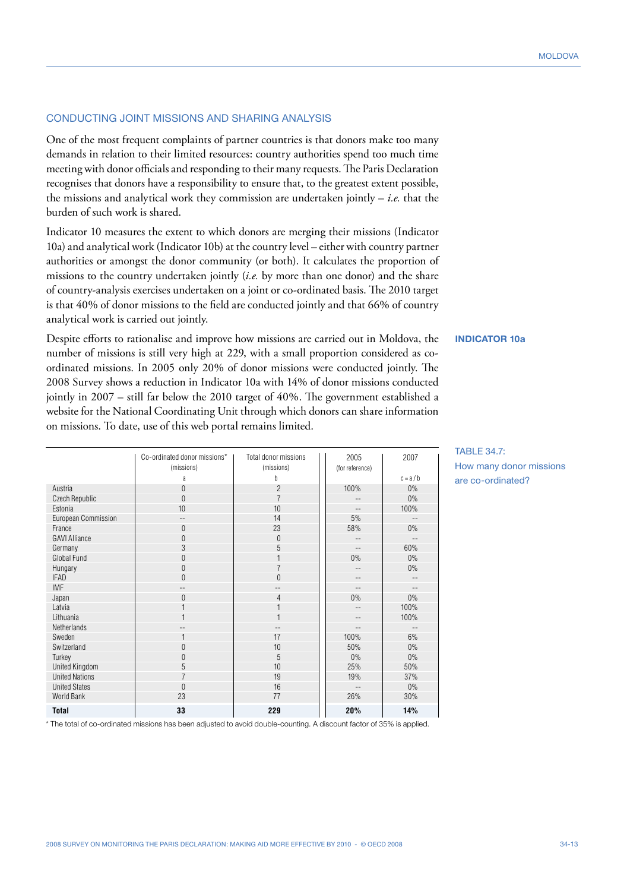MOLDOVA

#### CONDUCTING JOINT MISSIONS AND SHARING ANALYSIS

One of the most frequent complaints of partner countries is that donors make too many demands in relation to their limited resources: country authorities spend too much time meeting with donor officials and responding to their many requests. The Paris Declaration recognises that donors have a responsibility to ensure that, to the greatest extent possible, the missions and analytical work they commission are undertaken jointly  $- i.e.$  that the burden of such work is shared.

Indicator 10 measures the extent to which donors are merging their missions (Indicator 10a) and analytical work (Indicator 10b) at the country level – either with country partner authorities or amongst the donor community (or both). It calculates the proportion of missions to the country undertaken jointly (*i.e.* by more than one donor) and the share of country-analysis exercises undertaken on a joint or co-ordinated basis. The 2010 target is that 40% of donor missions to the field are conducted jointly and that 66% of country analytical work is carried out jointly.

Despite efforts to rationalise and improve how missions are carried out in Moldova, the number of missions is still very high at 229, with a small proportion considered as coordinated missions. In 2005 only 20% of donor missions were conducted jointly. The 2008 Survey shows a reduction in Indicator 10a with 14% of donor missions conducted jointly in 2007 – still far below the 2010 target of 40%. The government established a website for the National Coordinating Unit through which donors can share information on missions. To date, use of this web portal remains limited.

|                       | Co-ordinated donor missions* | Total donor missions | 2005            | 2007      |
|-----------------------|------------------------------|----------------------|-----------------|-----------|
|                       | (missions)                   | (missions)           | (for reference) |           |
|                       | a                            | b                    |                 | $c = a/b$ |
| Austria               | $\mathbf{0}$                 | $\overline{2}$       | 100%            | $0\%$     |
| Czech Republic        | $\mathbf{0}$                 | $\overline{7}$       |                 | $0\%$     |
| Estonia               | 10                           | 10                   | --              | 100%      |
| European Commission   | --                           | 14                   | 5%              |           |
| France                | $\mathbf{0}$                 | 23                   | 58%             | $0\%$     |
| <b>GAVI Alliance</b>  | $\mathbf{0}$                 | $\theta$             |                 |           |
| Germany               | 3                            | 5                    |                 | 60%       |
| Global Fund           | $\overline{0}$               | 1                    | $0\%$           | $0\%$     |
| Hungary               | $\mathbf{0}$                 | $\overline{7}$       | --              | $0\%$     |
| <b>IFAD</b>           | $\overline{0}$               | $\theta$             |                 |           |
| IMF                   | --                           | --                   |                 |           |
| Japan                 | $\mathbf{0}$                 | $\overline{4}$       | 0%              | $0\%$     |
| Latvia                |                              | 1                    |                 | 100%      |
| Lithuania             | 1                            | 1                    |                 | 100%      |
| Netherlands           | --                           | --                   |                 |           |
| Sweden                | 1                            | 17                   | 100%            | 6%        |
| Switzerland           | $\mathbf{0}$                 | 10                   | 50%             | 0%        |
| Turkey                | $\mathbf{0}$                 | 5                    | $0\%$           | 0%        |
| United Kingdom        | 5                            | 10                   | 25%             | 50%       |
| <b>United Nations</b> | $\overline{7}$               | 19                   | 19%             | 37%       |
| <b>United States</b>  | $\mathbf{0}$                 | 16                   |                 | $0\%$     |
| World Bank            | 23                           | 77                   | 26%             | 30%       |
| <b>Total</b>          | 33                           | 229                  | 20%             | 14%       |

\* The total of co-ordinated missions has been adjusted to avoid double-counting. A discount factor of 35% is applied.

**INDICATOR 10a**

# TABLE 34.7: How many donor missions are co-ordinated?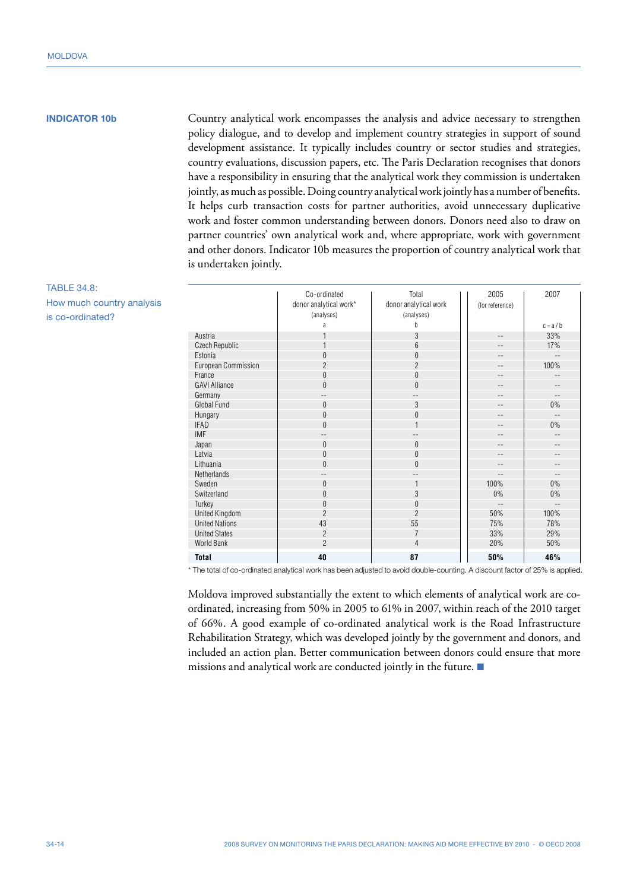#### **INDICATOR 10b**

TABLE 34.8:

is co-ordinated?

How much country analysis

Country analytical work encompasses the analysis and advice necessary to strengthen policy dialogue, and to develop and implement country strategies in support of sound development assistance. It typically includes country or sector studies and strategies, country evaluations, discussion papers, etc. The Paris Declaration recognises that donors have a responsibility in ensuring that the analytical work they commission is undertaken jointly, as much as possible. Doing country analytical work jointly has a number of benefits. It helps curb transaction costs for partner authorities, avoid unnecessary duplicative work and foster common understanding between donors. Donors need also to draw on partner countries' own analytical work and, where appropriate, work with government and other donors. Indicator 10b measures the proportion of country analytical work that is undertaken jointly.

|                       | Co-ordinated           | Total                 | 2005              | 2007      |
|-----------------------|------------------------|-----------------------|-------------------|-----------|
|                       | donor analytical work* | donor analytical work | (for reference)   |           |
|                       | (analyses)             | (analyses)            |                   |           |
|                       | a                      | h                     |                   | $c = a/b$ |
| Austria               | 1                      | 3                     | $\qquad \qquad -$ | 33%       |
| Czech Republic        | 1                      | $6\overline{6}$       | $\qquad \qquad -$ | 17%       |
| Estonia               | 0                      | $\mathbf{0}$          |                   | --        |
| European Commission   | $\overline{2}$         | $\overline{2}$        | $-$               | 100%      |
| France                | $\overline{0}$         | $\mathbf{0}$          | $\qquad \qquad -$ | $-$       |
| <b>GAVI Alliance</b>  | $\overline{0}$         | $\Omega$              |                   |           |
| Germany               | --                     | --                    | --                | $-$       |
| Global Fund           | $\mathbf{0}$           | 3                     | $\qquad \qquad -$ | $0\%$     |
| Hungary               | 0                      | $\Omega$              |                   | --        |
| <b>IFAD</b>           | $\mathbf{0}$           |                       | $-$               | 0%        |
| <b>IMF</b>            | --                     | --                    | $\qquad \qquad -$ | --        |
| Japan                 | $\mathbf{0}$           | $\Omega$              |                   |           |
| Latvia                | $\mathbf{0}$           | $\mathbf{0}$          | $-$               | --        |
| Lithuania             | $\overline{0}$         | $\Omega$              | $\qquad \qquad -$ | --        |
| Netherlands           | --                     | --                    |                   | --        |
| Sweden                | $\pmb{0}$              | 1                     | 100%              | 0%        |
| Switzerland           | $\mathbf 0$            | 3                     | $0\%$             | 0%        |
| Turkey                | 0                      | $\Omega$              |                   | $-$       |
| <b>United Kingdom</b> | $\overline{c}$         | $\overline{c}$        | 50%               | 100%      |
| <b>United Nations</b> | 43                     | 55                    | 75%               | 78%       |
| <b>United States</b>  | $\overline{2}$         |                       | 33%               | 29%       |
| World Bank            | $\overline{2}$         | 4                     | 20%               | 50%       |
| <b>Total</b>          | 40                     | 87                    | 50%               | 46%       |

\* The total of co-ordinated analytical work has been adjusted to avoid double-counting. A discount factor of 25% is applied.

Moldova improved substantially the extent to which elements of analytical work are coordinated, increasing from 50% in 2005 to 61% in 2007, within reach of the 2010 target of 66%. A good example of co-ordinated analytical work is the Road Infrastructure Rehabilitation Strategy, which was developed jointly by the government and donors, and included an action plan. Better communication between donors could ensure that more missions and analytical work are conducted jointly in the future. ■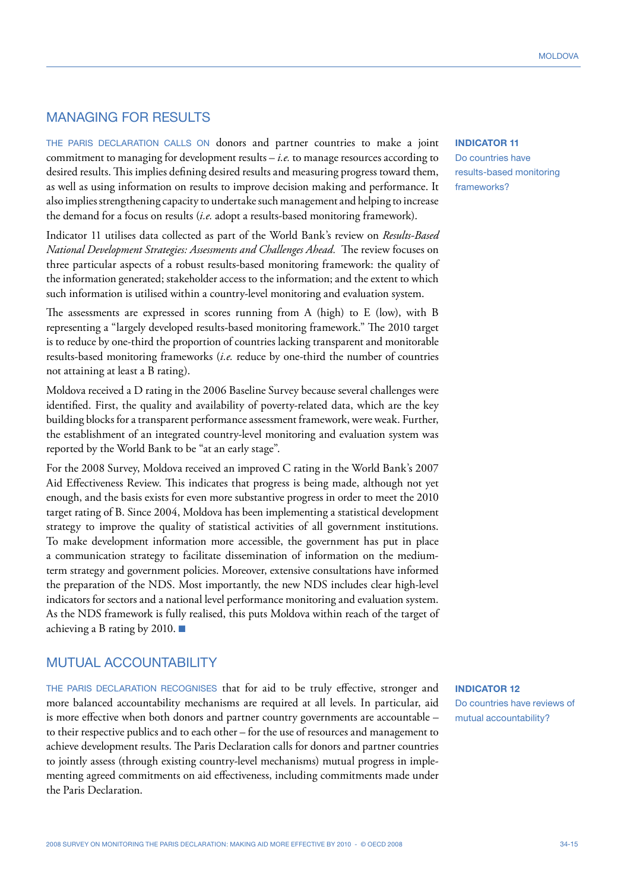# MANAGING FOR RESULTS

THE PARIS DECLARATION CALLS ON donors and partner countries to make a joint commitment to managing for development results  $-i.e.$  to manage resources according to desired results. This implies defining desired results and measuring progress toward them, as well as using information on results to improve decision making and performance. It also implies strengthening capacity to undertake such management and helping to increase the demand for a focus on results (*i.e.* adopt a results-based monitoring framework).

Indicator 11 utilises data collected as part of the World Bank's review on *Results-Based National Development Strategies: Assessments and Challenges Ahead.* The review focuses on three particular aspects of a robust results-based monitoring framework: the quality of the information generated; stakeholder access to the information; and the extent to which such information is utilised within a country-level monitoring and evaluation system.

The assessments are expressed in scores running from A (high) to E (low), with B representing a "largely developed results-based monitoring framework." The 2010 target is to reduce by one-third the proportion of countries lacking transparent and monitorable results-based monitoring frameworks (*i.e.* reduce by one-third the number of countries not attaining at least a B rating).

Moldova received a D rating in the 2006 Baseline Survey because several challenges were identified. First, the quality and availability of poverty-related data, which are the key building blocks for a transparent performance assessment framework, were weak. Further, the establishment of an integrated country-level monitoring and evaluation system was reported by the World Bank to be "at an early stage".

For the 2008 Survey, Moldova received an improved C rating in the World Bank's 2007 Aid Effectiveness Review. This indicates that progress is being made, although not yet enough, and the basis exists for even more substantive progress in order to meet the 2010 target rating of B. Since 2004, Moldova has been implementing a statistical development strategy to improve the quality of statistical activities of all government institutions. To make development information more accessible, the government has put in place a communication strategy to facilitate dissemination of information on the mediumterm strategy and government policies. Moreover, extensive consultations have informed the preparation of the NDS. Most importantly, the new NDS includes clear high-level indicators for sectors and a national level performance monitoring and evaluation system. As the NDS framework is fully realised, this puts Moldova within reach of the target of achieving a B rating by 2010. ■

# MUTUAL ACCOUNTABILITY

THE PARIS DECLARATION RECOGNISES that for aid to be truly effective, stronger and more balanced accountability mechanisms are required at all levels. In particular, aid is more effective when both donors and partner country governments are accountable – to their respective publics and to each other – for the use of resources and management to achieve development results. The Paris Declaration calls for donors and partner countries to jointly assess (through existing country-level mechanisms) mutual progress in implementing agreed commitments on aid effectiveness, including commitments made under the Paris Declaration.

**INDICATOR 11** Do countries have results-based monitoring frameworks?

**INDICATOR 12** Do countries have reviews of mutual accountability?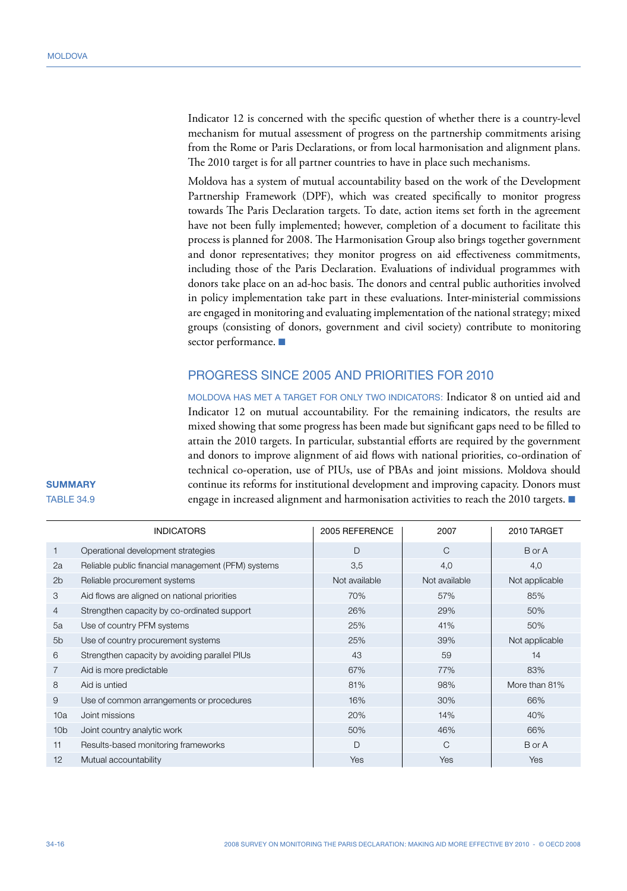Indicator 12 is concerned with the specific question of whether there is a country-level mechanism for mutual assessment of progress on the partnership commitments arising from the Rome or Paris Declarations, or from local harmonisation and alignment plans. The 2010 target is for all partner countries to have in place such mechanisms.

Moldova has a system of mutual accountability based on the work of the Development Partnership Framework (DPF), which was created specifically to monitor progress towards The Paris Declaration targets. To date, action items set forth in the agreement have not been fully implemented; however, completion of a document to facilitate this process is planned for 2008. The Harmonisation Group also brings together government and donor representatives; they monitor progress on aid effectiveness commitments, including those of the Paris Declaration. Evaluations of individual programmes with donors take place on an ad-hoc basis. The donors and central public authorities involved in policy implementation take part in these evaluations. Inter-ministerial commissions are engaged in monitoring and evaluating implementation of the national strategy; mixed groups (consisting of donors, government and civil society) contribute to monitoring sector performance. ■

# PROGRESS SINCE 2005 AND PRIORITIES FOR 2010

MOLDOVA HAS MET A TARGET FOR ONLY TWO INDICATORS: Indicator 8 on untied aid and Indicator 12 on mutual accountability. For the remaining indicators, the results are mixed showing that some progress has been made but significant gaps need to be filled to attain the 2010 targets. In particular, substantial efforts are required by the government and donors to improve alignment of aid flows with national priorities, co-ordination of technical co-operation, use of PIUs, use of PBAs and joint missions. Moldova should continue its reforms for institutional development and improving capacity. Donors must engage in increased alignment and harmonisation activities to reach the 2010 targets. ■

#### **SUMMARY** TABLE 34.9

| <b>INDICATORS</b>                                  | 2005 REFERENCE | 2007          | 2010 TARGET    |
|----------------------------------------------------|----------------|---------------|----------------|
| Operational development strategies                 | $\Box$         | C             | B or A         |
| Reliable public financial management (PFM) systems | 3,5            | 4,0           | 4,0            |
| Reliable procurement systems                       | Not available  | Not available | Not applicable |
| Aid flows are aligned on national priorities       | 70%            | 57%           | 85%            |
| Strengthen capacity by co-ordinated support        | 26%            | 29%           | 50%            |
| Use of country PFM systems                         | 25%            | 41%           | 50%            |
| Use of country procurement systems                 | 25%            | 39%           | Not applicable |
| Strengthen capacity by avoiding parallel PIUs      | 43             | 59            | 14             |
| Aid is more predictable                            | 67%            | 77%           | 83%            |
| Aid is untied                                      | 81%            | 98%           | More than 81%  |
| Use of common arrangements or procedures           | 16%            | 30%           | 66%            |
| Joint missions                                     | 20%            | 14%           | 40%            |
| Joint country analytic work                        | 50%            | 46%           | 66%            |
| Results-based monitoring frameworks                | D              | C             | B or A         |
| Mutual accountability                              | <b>Yes</b>     | <b>Yes</b>    | Yes            |
|                                                    |                |               |                |